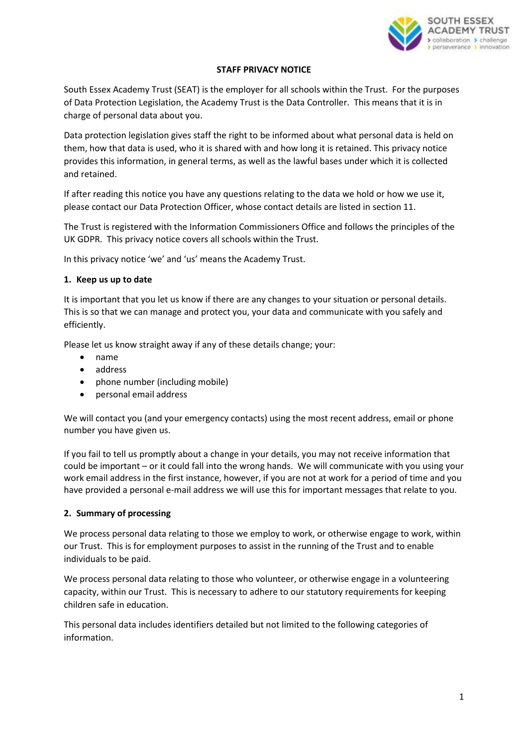

### **STAFF PRIVACY NOTICE**

South Essex Academy Trust (SEAT) is the employer for all schools within the Trust. For the purposes of Data Protection Legislation, the Academy Trust is the Data Controller. This means that it is in charge of personal data about you.

Data protection legislation gives staff the right to be informed about what personal data is held on them, how that data is used, who it is shared with and how long it is retained. This privacy notice provides this information, in general terms, as well as the lawful bases under which it is collected and retained.

If after reading this notice you have any questions relating to the data we hold or how we use it, please contact our Data Protection Officer, whose contact details are listed in section 11.

The Trust is registered with the Information Commissioners Office and follows the principles of the UK GDPR. This privacy notice covers all schools within the Trust.

In this privacy notice 'we' and 'us' means the Academy Trust.

## **1. Keep us up to date**

It is important that you let us know if there are any changes to your situation or personal details. This is so that we can manage and protect you, your data and communicate with you safely and efficiently.

Please let us know straight away if any of these details change; your:

- name
- address
- phone number (including mobile)
- personal email address

We will contact you (and your emergency contacts) using the most recent address, email or phone number you have given us.

If you fail to tell us promptly about a change in your details, you may not receive information that could be important – or it could fall into the wrong hands. We will communicate with you using your work email address in the first instance, however, if you are not at work for a period of time and you have provided a personal e-mail address we will use this for important messages that relate to you.

### **2. Summary of processing**

We process personal data relating to those we employ to work, or otherwise engage to work, within our Trust. This is for employment purposes to assist in the running of the Trust and to enable individuals to be paid.

We process personal data relating to those who volunteer, or otherwise engage in a volunteering capacity, within our Trust. This is necessary to adhere to our statutory requirements for keeping children safe in education.

This personal data includes identifiers detailed but not limited to the following categories of information.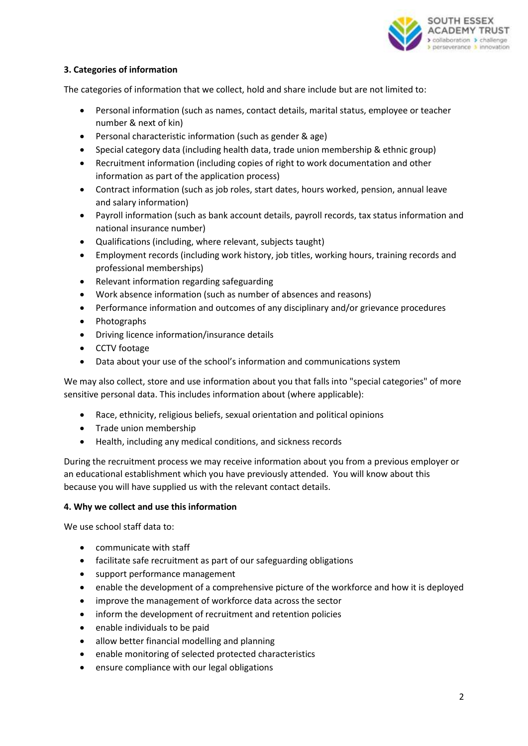

## **3. Categories of information**

The categories of information that we collect, hold and share include but are not limited to:

- Personal information (such as names, contact details, marital status, employee or teacher number & next of kin)
- Personal characteristic information (such as gender & age)
- Special category data (including health data, trade union membership & ethnic group)
- Recruitment information (including copies of right to work documentation and other information as part of the application process)
- Contract information (such as job roles, start dates, hours worked, pension, annual leave and salary information)
- Payroll information (such as bank account details, payroll records, tax status information and national insurance number)
- Qualifications (including, where relevant, subjects taught)
- Employment records (including work history, job titles, working hours, training records and professional memberships)
- Relevant information regarding safeguarding
- Work absence information (such as number of absences and reasons)
- Performance information and outcomes of any disciplinary and/or grievance procedures
- Photographs
- Driving licence information/insurance details
- CCTV footage
- Data about your use of the school's information and communications system

We may also collect, store and use information about you that falls into "special categories" of more sensitive personal data. This includes information about (where applicable):

- Race, ethnicity, religious beliefs, sexual orientation and political opinions
- Trade union membership
- Health, including any medical conditions, and sickness records

During the recruitment process we may receive information about you from a previous employer or an educational establishment which you have previously attended. You will know about this because you will have supplied us with the relevant contact details.

### **4. Why we collect and use this information**

We use school staff data to:

- communicate with staff
- facilitate safe recruitment as part of our safeguarding obligations
- support performance management
- enable the development of a comprehensive picture of the workforce and how it is deployed
- improve the management of workforce data across the sector
- inform the development of recruitment and retention policies
- enable individuals to be paid
- allow better financial modelling and planning
- enable monitoring of selected protected characteristics
- ensure compliance with our legal obligations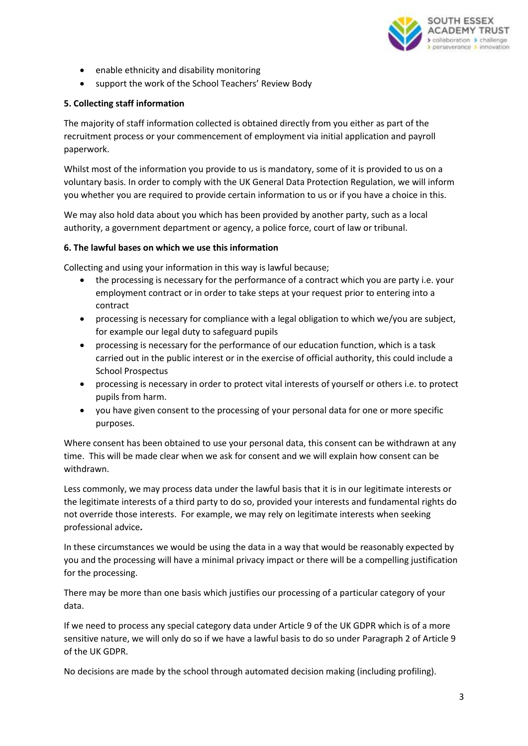

- enable ethnicity and disability monitoring
- support the work of the School Teachers' Review Body

### **5. Collecting staff information**

The majority of staff information collected is obtained directly from you either as part of the recruitment process or your commencement of employment via initial application and payroll paperwork.

Whilst most of the information you provide to us is mandatory, some of it is provided to us on a voluntary basis. In order to comply with the UK General Data Protection Regulation, we will inform you whether you are required to provide certain information to us or if you have a choice in this.

We may also hold data about you which has been provided by another party, such as a local authority, a government department or agency, a police force, court of law or tribunal.

### **6. The lawful bases on which we use this information**

Collecting and using your information in this way is lawful because;

- the processing is necessary for the performance of a contract which you are party i.e. your employment contract or in order to take steps at your request prior to entering into a contract
- processing is necessary for compliance with a legal obligation to which we/you are subject, for example our legal duty to safeguard pupils
- processing is necessary for the performance of our education function, which is a task carried out in the public interest or in the exercise of official authority, this could include a School Prospectus
- processing is necessary in order to protect vital interests of yourself or others i.e. to protect pupils from harm.
- you have given consent to the processing of your personal data for one or more specific purposes.

Where consent has been obtained to use your personal data, this consent can be withdrawn at any time. This will be made clear when we ask for consent and we will explain how consent can be withdrawn.

Less commonly, we may process data under the lawful basis that it is in our legitimate interests or the legitimate interests of a third party to do so, provided your interests and fundamental rights do not override those interests. For example, we may rely on legitimate interests when seeking professional advice**.**

In these circumstances we would be using the data in a way that would be reasonably expected by you and the processing will have a minimal privacy impact or there will be a compelling justification for the processing.

There may be more than one basis which justifies our processing of a particular category of your data.

If we need to process any special category data under Article 9 of the UK GDPR which is of a more sensitive nature, we will only do so if we have a lawful basis to do so under Paragraph 2 of Article 9 of the UK GDPR.

No decisions are made by the school through automated decision making (including profiling).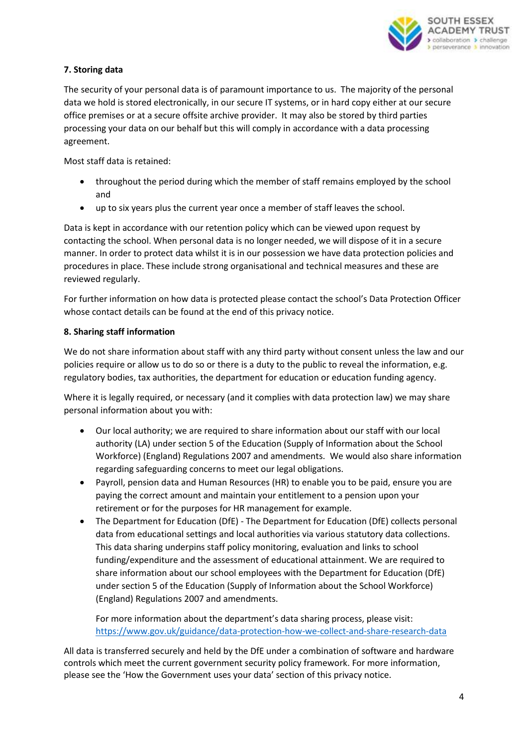

# **7. Storing data**

The security of your personal data is of paramount importance to us. The majority of the personal data we hold is stored electronically, in our secure IT systems, or in hard copy either at our secure office premises or at a secure offsite archive provider. It may also be stored by third parties processing your data on our behalf but this will comply in accordance with a data processing agreement.

Most staff data is retained:

- throughout the period during which the member of staff remains employed by the school and
- up to six years plus the current year once a member of staff leaves the school.

Data is kept in accordance with our retention policy which can be viewed upon request by contacting the school. When personal data is no longer needed, we will dispose of it in a secure manner. In order to protect data whilst it is in our possession we have data protection policies and procedures in place. These include strong organisational and technical measures and these are reviewed regularly.

For further information on how data is protected please contact the school's Data Protection Officer whose contact details can be found at the end of this privacy notice.

## **8. Sharing staff information**

We do not share information about staff with any third party without consent unless the law and our policies require or allow us to do so or there is a duty to the public to reveal the information, e.g. regulatory bodies, tax authorities, the department for education or education funding agency.

Where it is legally required, or necessary (and it complies with data protection law) we may share personal information about you with:

- Our local authority; we are required to share information about our staff with our local authority (LA) under section 5 of the Education (Supply of Information about the School Workforce) (England) Regulations 2007 and amendments. We would also share information regarding safeguarding concerns to meet our legal obligations.
- Payroll, pension data and Human Resources (HR) to enable you to be paid, ensure you are paying the correct amount and maintain your entitlement to a pension upon your retirement or for the purposes for HR management for example.
- The Department for Education (DfE) The Department for Education (DfE) collects personal data from educational settings and local authorities via various statutory data collections. This data sharing underpins staff policy monitoring, evaluation and links to school funding/expenditure and the assessment of educational attainment. We are required to share information about our school employees with the Department for Education (DfE) under section 5 of the Education (Supply of Information about the School Workforce) (England) Regulations 2007 and amendments.

For more information about the department's data sharing process, please visit: <https://www.gov.uk/guidance/data-protection-how-we-collect-and-share-research-data>

All data is transferred securely and held by the DfE under a combination of software and hardware controls which meet the current government security policy framework. For more information, please see the 'How the Government uses your data' section of this privacy notice.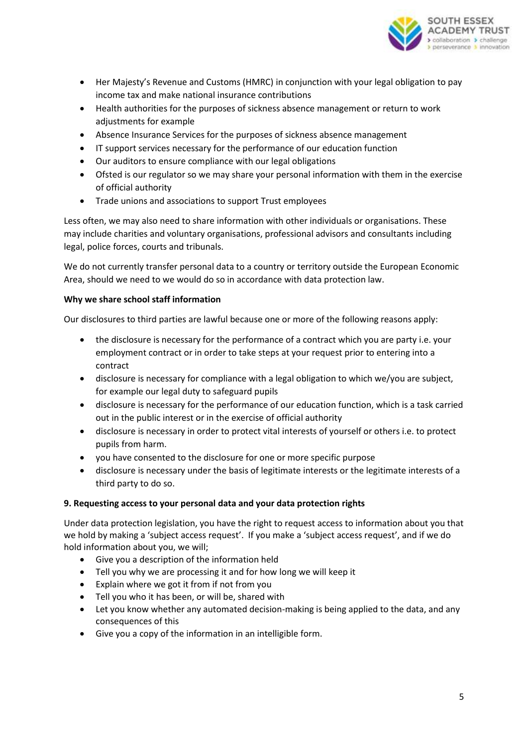

- Her Majesty's Revenue and Customs (HMRC) in conjunction with your legal obligation to pay income tax and make national insurance contributions
- Health authorities for the purposes of sickness absence management or return to work adjustments for example
- Absence Insurance Services for the purposes of sickness absence management
- IT support services necessary for the performance of our education function
- Our auditors to ensure compliance with our legal obligations
- Ofsted is our regulator so we may share your personal information with them in the exercise of official authority
- Trade unions and associations to support Trust employees

Less often, we may also need to share information with other individuals or organisations. These may include charities and voluntary organisations, professional advisors and consultants including legal, police forces, courts and tribunals.

We do not currently transfer personal data to a country or territory outside the European Economic Area, should we need to we would do so in accordance with data protection law.

## **Why we share school staff information**

Our disclosures to third parties are lawful because one or more of the following reasons apply:

- the disclosure is necessary for the performance of a contract which you are party i.e. your employment contract or in order to take steps at your request prior to entering into a contract
- disclosure is necessary for compliance with a legal obligation to which we/you are subject, for example our legal duty to safeguard pupils
- disclosure is necessary for the performance of our education function, which is a task carried out in the public interest or in the exercise of official authority
- disclosure is necessary in order to protect vital interests of yourself or others i.e. to protect pupils from harm.
- you have consented to the disclosure for one or more specific purpose
- disclosure is necessary under the basis of legitimate interests or the legitimate interests of a third party to do so.

## **9. Requesting access to your personal data and your data protection rights**

Under data protection legislation, you have the right to request access to information about you that we hold by making a 'subject access request'. If you make a 'subject access request', and if we do hold information about you, we will;

- Give you a description of the information held
- Tell you why we are processing it and for how long we will keep it
- Explain where we got it from if not from you
- Tell you who it has been, or will be, shared with
- Let you know whether any automated decision-making is being applied to the data, and any consequences of this
- Give you a copy of the information in an intelligible form.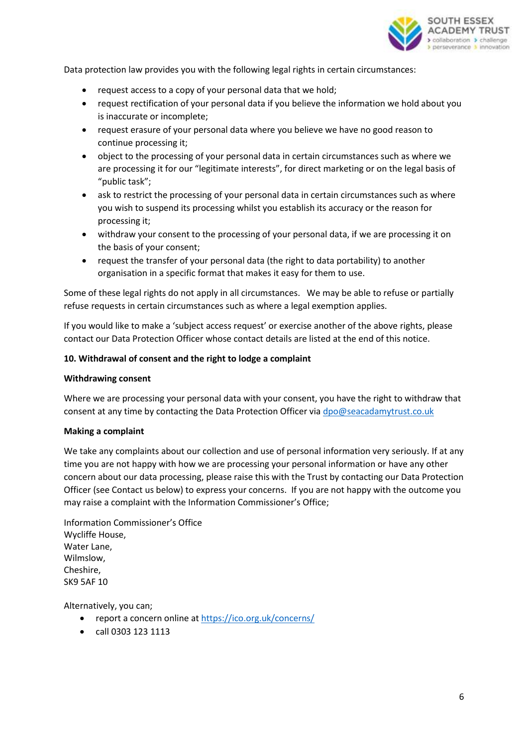

Data protection law provides you with the following legal rights in certain circumstances:

- request access to a copy of your personal data that we hold;
- request rectification of your personal data if you believe the information we hold about you is inaccurate or incomplete;
- request erasure of your personal data where you believe we have no good reason to continue processing it;
- object to the processing of your personal data in certain circumstances such as where we are processing it for our "legitimate interests", for direct marketing or on the legal basis of "public task";
- ask to restrict the processing of your personal data in certain circumstances such as where you wish to suspend its processing whilst you establish its accuracy or the reason for processing it;
- withdraw your consent to the processing of your personal data, if we are processing it on the basis of your consent;
- request the transfer of your personal data (the right to data portability) to another organisation in a specific format that makes it easy for them to use.

Some of these legal rights do not apply in all circumstances. We may be able to refuse or partially refuse requests in certain circumstances such as where a legal exemption applies.

If you would like to make a 'subject access request' or exercise another of the above rights, please contact our Data Protection Officer whose contact details are listed at the end of this notice.

## **10. Withdrawal of consent and the right to lodge a complaint**

### **Withdrawing consent**

Where we are processing your personal data with your consent, you have the right to withdraw that consent at any time by contacting the Data Protection Officer via [dpo@seacadamytrust.co.uk](mailto:dpo@seacadamytrust.co.uk)

### **Making a complaint**

We take any complaints about our collection and use of personal information very seriously. If at any time you are not happy with how we are processing your personal information or have any other concern about our data processing, please raise this with the Trust by contacting our Data Protection Officer (see Contact us below) to express your concerns. If you are not happy with the outcome you may raise a complaint with the Information Commissioner's Office;

Information Commissioner's Office Wycliffe House, Water Lane, Wilmslow, Cheshire, SK9 5AF 10

Alternatively, you can;

- report a concern online at<https://ico.org.uk/concerns/>
- call 0303 123 1113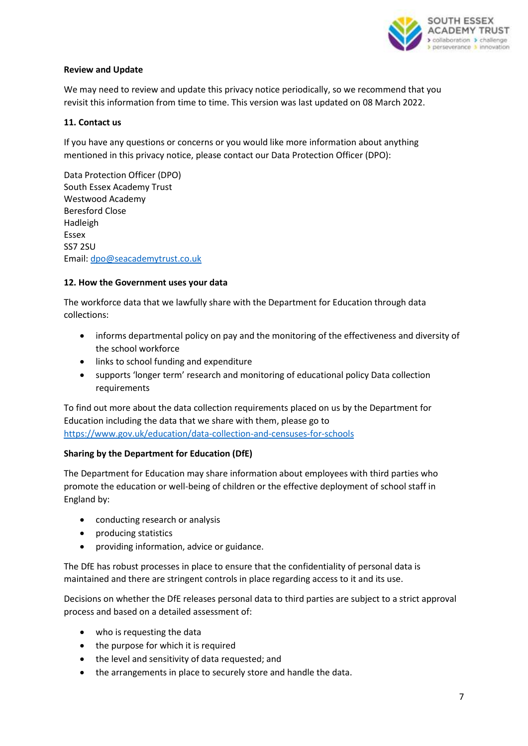

### **Review and Update**

We may need to review and update this privacy notice periodically, so we recommend that you revisit this information from time to time. This version was last updated on 08 March 2022.

## **11. Contact us**

If you have any questions or concerns or you would like more information about anything mentioned in this privacy notice, please contact our Data Protection Officer (DPO):

Data Protection Officer (DPO) South Essex Academy Trust Westwood Academy Beresford Close Hadleigh Essex SS7 2SU Email: [dpo@seacademytrust.co.uk](mailto:dpo@seacademytrust.co.uk)

## **12. How the Government uses your data**

The workforce data that we lawfully share with the Department for Education through data collections:

- informs departmental policy on pay and the monitoring of the effectiveness and diversity of the school workforce
- links to school funding and expenditure
- supports 'longer term' research and monitoring of educational policy Data collection requirements

To find out more about the data collection requirements placed on us by the Department for Education including the data that we share with them, please go to <https://www.gov.uk/education/data-collection-and-censuses-for-schools>

## **Sharing by the Department for Education (DfE)**

The Department for Education may share information about employees with third parties who promote the education or well-being of children or the effective deployment of school staff in England by:

- conducting research or analysis
- producing statistics
- providing information, advice or guidance.

The DfE has robust processes in place to ensure that the confidentiality of personal data is maintained and there are stringent controls in place regarding access to it and its use.

Decisions on whether the DfE releases personal data to third parties are subject to a strict approval process and based on a detailed assessment of:

- who is requesting the data
- the purpose for which it is required
- the level and sensitivity of data requested; and
- the arrangements in place to securely store and handle the data.